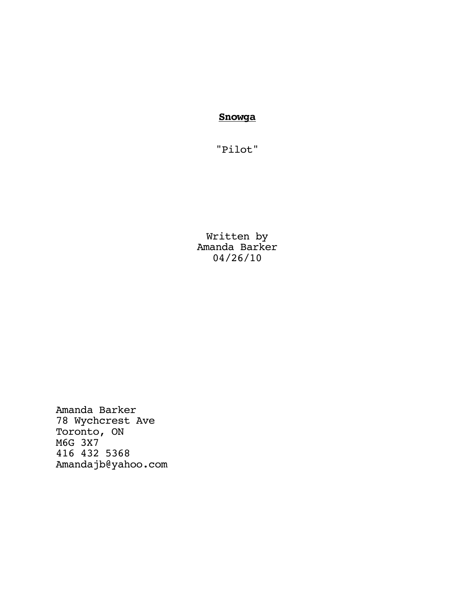**Snowga**

"Pilot"

Written by Amanda Barker 04/26/10

Amanda Barker 78 Wychcrest Ave Toronto, ON M6G 3X7 416 432 5368 Amandajb@yahoo.com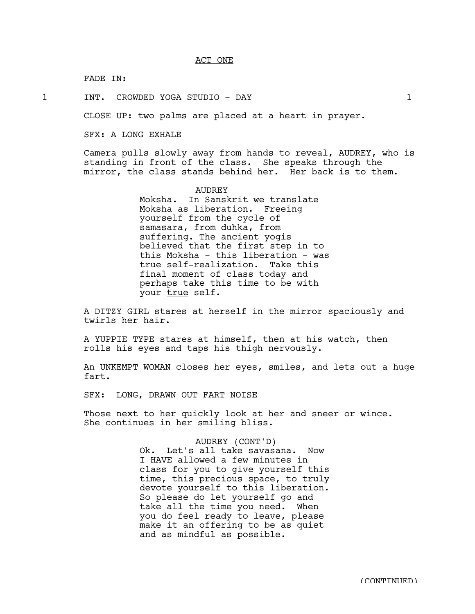## ACT ONE

FADE IN:

1 INT. CROWDED YOGA STUDIO - DAY 1

CLOSE UP: two palms are placed at a heart in prayer.

SFX: A LONG EXHALE

Camera pulls slowly away from hands to reveal, AUDREY, who is standing in front of the class. She speaks through the mirror, the class stands behind her. Her back is to them.

> AUDREY Moksha. In Sanskrit we translate Moksha as liberation. Freeing yourself from the cycle of samasara, from duhka, from suffering. The ancient yogis believed that the first step in to this Moksha - this liberation - was true self-realization. Take this final moment of class today and perhaps take this time to be with your true self.

A DITZY GIRL stares at herself in the mirror spaciously and twirls her hair.

A YUPPIE TYPE stares at himself, then at his watch, then rolls his eyes and taps his thigh nervously.

An UNKEMPT WOMAN closes her eyes, smiles, and lets out a huge fart.

SFX: LONG, DRAWN OUT FART NOISE

Those next to her quickly look at her and sneer or wince. She continues in her smiling bliss.

> AUDREY (CONT'D) Ok. Let's all take savasana. Now I HAVE allowed a few minutes in class for you to give yourself this time, this precious space, to truly devote yourself to this liberation. So please do let yourself go and take all the time you need. When you do feel ready to leave, please make it an offering to be as quiet and as mindful as possible.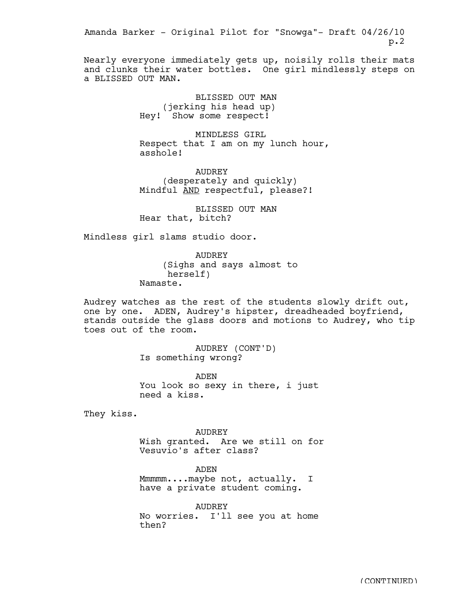Nearly everyone immediately gets up, noisily rolls their mats and clunks their water bottles. One girl mindlessly steps on a BLISSED OUT MAN.

> BLISSED OUT MAN (jerking his head up) Hey! Show some respect!

MINDLESS GIRL Respect that I am on my lunch hour, asshole!

AUDREY (desperately and quickly) Mindful AND respectful, please?!

BLISSED OUT MAN Hear that, bitch?

Mindless girl slams studio door.

AUDREY (Sighs and says almost to herself) Namaste.

Audrey watches as the rest of the students slowly drift out, one by one. ADEN, Audrey's hipster, dreadheaded boyfriend, stands outside the glass doors and motions to Audrey, who tip toes out of the room.

> AUDREY (CONT'D) Is something wrong?

ADEN You look so sexy in there, i just need a kiss.

They kiss.

AUDREY Wish granted. Are we still on for Vesuvio's after class?

ADEN

Mmmmm....maybe not, actually. I have a private student coming.

AUDREY No worries. I'll see you at home then?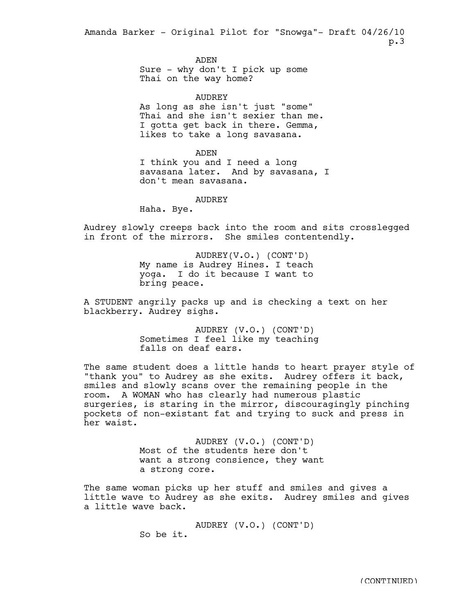> ADEN Sure - why don't I pick up some Thai on the way home?

AUDREY As long as she isn't just "some" Thai and she isn't sexier than me. I gotta get back in there. Gemma, likes to take a long savasana.

## ADEN

I think you and I need a long savasana later. And by savasana, I don't mean savasana.

## AUDREY

Haha. Bye.

Audrey slowly creeps back into the room and sits crosslegged in front of the mirrors. She smiles contentendly.

> AUDREY(V.O.) (CONT'D) My name is Audrey Hines. I teach yoga. I do it because I want to bring peace.

A STUDENT angrily packs up and is checking a text on her blackberry. Audrey sighs.

> AUDREY (V.O.) (CONT'D) Sometimes I feel like my teaching falls on deaf ears.

The same student does a little hands to heart prayer style of "thank you" to Audrey as she exits. Audrey offers it back, smiles and slowly scans over the remaining people in the room. A WOMAN who has clearly had numerous plastic surgeries, is staring in the mirror, discouragingly pinching pockets of non-existant fat and trying to suck and press in her waist.

> AUDREY (V.O.) (CONT'D) Most of the students here don't want a strong consience, they want a strong core.

The same woman picks up her stuff and smiles and gives a little wave to Audrey as she exits. Audrey smiles and gives a little wave back.

> AUDREY (V.O.) (CONT'D) So be it.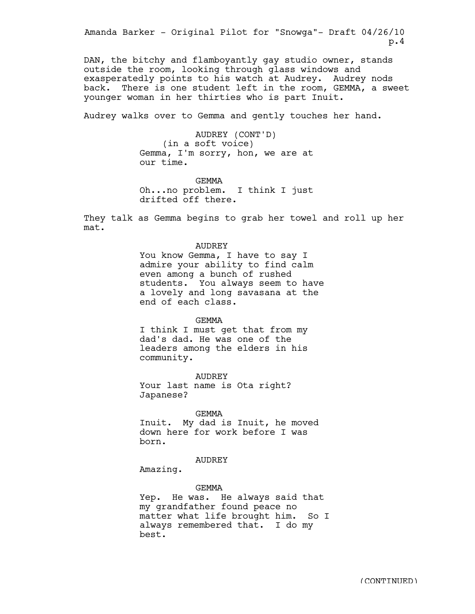DAN, the bitchy and flamboyantly gay studio owner, stands outside the room, looking through glass windows and exasperatedly points to his watch at Audrey. Audrey nods back. There is one student left in the room, GEMMA, a sweet younger woman in her thirties who is part Inuit.

Audrey walks over to Gemma and gently touches her hand.

AUDREY (CONT'D) (in a soft voice) Gemma, I'm sorry, hon, we are at our time.

GEMMA Oh...no problem. I think I just drifted off there.

They talk as Gemma begins to grab her towel and roll up her mat.

# AUDREY

You know Gemma, I have to say I admire your ability to find calm even among a bunch of rushed students. You always seem to have a lovely and long savasana at the end of each class.

#### GEMMA

I think I must get that from my dad's dad. He was one of the leaders among the elders in his community.

AUDREY Your last name is Ota right? Japanese?

### GEMMA

Inuit. My dad is Inuit, he moved down here for work before I was born.

# AUDREY

Amazing.

#### GEMMA

Yep. He was. He always said that my grandfather found peace no matter what life brought him. So I always remembered that. I do my best.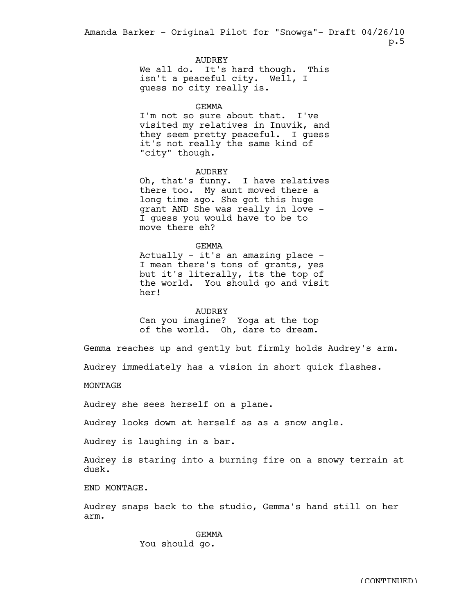AUDREY

We all do. It's hard though. This isn't a peaceful city. Well, I guess no city really is.

GEMMA

I'm not so sure about that. I've visited my relatives in Inuvik, and they seem pretty peaceful. I guess it's not really the same kind of "city" though.

AUDREY

Oh, that's funny. I have relatives there too. My aunt moved there a long time ago. She got this huge grant AND She was really in love - I guess you would have to be to move there eh?

GEMMA

Actually - it's an amazing place - I mean there's tons of grants, yes but it's literally, its the top of the world. You should go and visit her!

AUDREY

Can you imagine? Yoga at the top of the world. Oh, dare to dream.

Gemma reaches up and gently but firmly holds Audrey's arm.

Audrey immediately has a vision in short quick flashes.

MONTAGE

Audrey she sees herself on a plane.

Audrey looks down at herself as as a snow angle.

Audrey is laughing in a bar.

Audrey is staring into a burning fire on a snowy terrain at dusk.

END MONTAGE.

Audrey snaps back to the studio, Gemma's hand still on her arm.

> GEMMA You should go.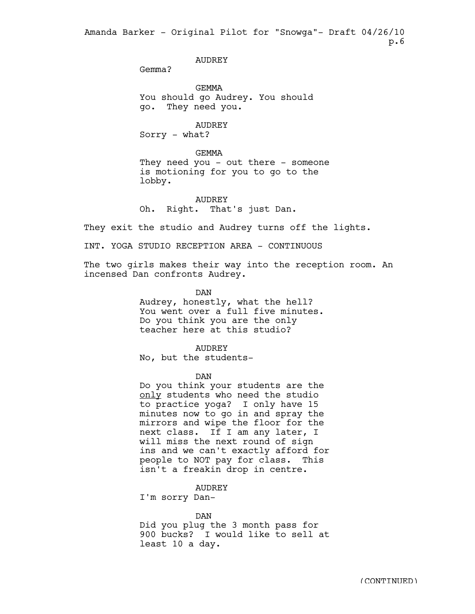AUDREY

Gemma?

GEMMA You should go Audrey. You should go. They need you.

AUDREY Sorry - what?

### GEMMA

They need you - out there - someone is motioning for you to go to the lobby.

AUDREY Oh. Right. That's just Dan.

They exit the studio and Audrey turns off the lights.

INT. YOGA STUDIO RECEPTION AREA - CONTINUOUS

The two girls makes their way into the reception room. An incensed Dan confronts Audrey.

DAN

Audrey, honestly, what the hell? You went over a full five minutes. Do you think you are the only teacher here at this studio?

AUDREY

No, but the students-

DAN

Do you think your students are the only students who need the studio to practice yoga? I only have 15 minutes now to go in and spray the mirrors and wipe the floor for the next class. If I am any later, I will miss the next round of sign ins and we can't exactly afford for people to NOT pay for class. This isn't a freakin drop in centre.

AUDREY

I'm sorry Dan-

DAN

Did you plug the 3 month pass for 900 bucks? I would like to sell at least 10 a day.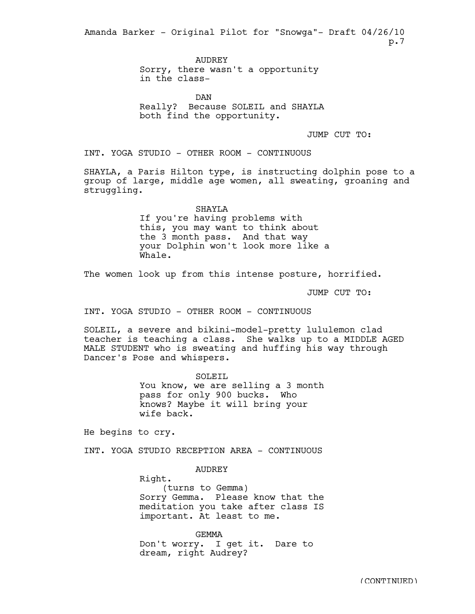> **AUDREY** Sorry, there wasn't a opportunity in the class-

**DAN** Really? Because SOLEIL and SHAYLA both find the opportunity.

JUMP CUT TO:

INT. YOGA STUDIO - OTHER ROOM - CONTINUOUS

SHAYLA, a Paris Hilton type, is instructing dolphin pose to a group of large, middle age women, all sweating, groaning and struggling.

> SHAYLA If you're having problems with this, you may want to think about the 3 month pass. And that way your Dolphin won't look more like a Whale.

The women look up from this intense posture, horrified.

JUMP CUT TO:

INT. YOGA STUDIO - OTHER ROOM - CONTINUOUS

SOLEIL, a severe and bikini-model-pretty lululemon clad teacher is teaching a class. She walks up to a MIDDLE AGED MALE STUDENT who is sweating and huffing his way through Dancer's Pose and whispers.

> SOLEIL You know, we are selling a 3 month pass for only 900 bucks. Who knows? Maybe it will bring your wife back.

He begins to cry.

INT. YOGA STUDIO RECEPTION AREA - CONTINUOUS

AUDREY

Right.

(turns to Gemma) Sorry Gemma. Please know that the meditation you take after class IS important. At least to me.

GEMMA Don't worry. I get it. Dare to dream, right Audrey?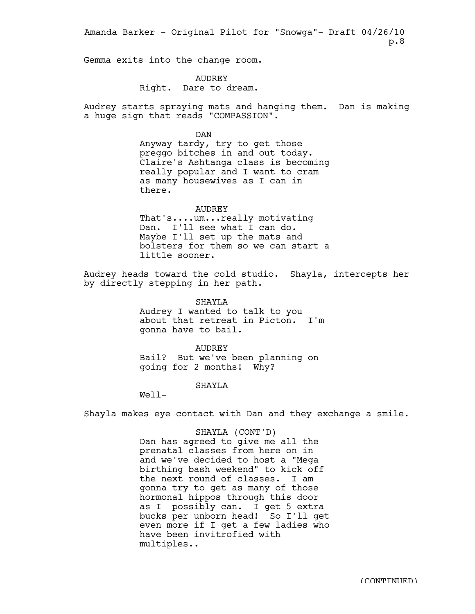Gemma exits into the change room.

AUDREY Right. Dare to dream.

Audrey starts spraying mats and hanging them. Dan is making a huge sign that reads "COMPASSION".

> DAN Anyway tardy, try to get those

preggo bitches in and out today. Claire's Ashtanga class is becoming really popular and I want to cram as many housewives as I can in there.

AUDREY That's....um...really motivating Dan. I'll see what I can do. Maybe I'll set up the mats and bolsters for them so we can start a little sooner.

Audrey heads toward the cold studio. Shayla, intercepts her by directly stepping in her path.

> SHAYLA Audrey I wanted to talk to you about that retreat in Picton. I'm gonna have to bail.

AUDREY Bail? But we've been planning on going for 2 months! Why?

SHAYLA

 $We11-$ 

Shayla makes eye contact with Dan and they exchange a smile.

## SHAYLA (CONT'D)

Dan has agreed to give me all the prenatal classes from here on in and we've decided to host a "Mega birthing bash weekend" to kick off the next round of classes. I am gonna try to get as many of those hormonal hippos through this door as I possibly can. I get 5 extra bucks per unborn head! So I'll get even more if I get a few ladies who have been invitrofied with multiples..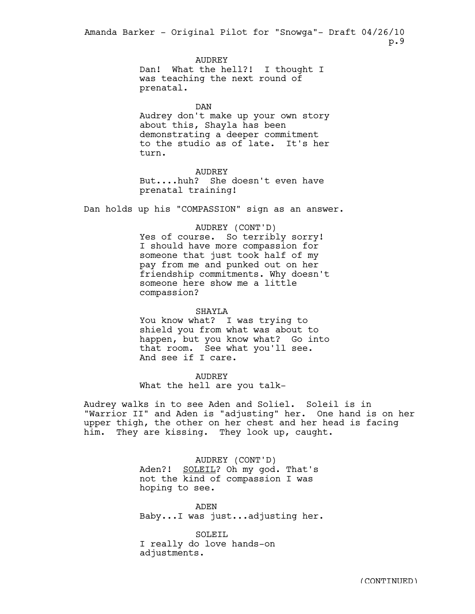> AUDREY Dan! What the hell?! I thought I was teaching the next round of prenatal.

DAN Audrey don't make up your own story about this, Shayla has been demonstrating a deeper commitment to the studio as of late. It's her turn.

AUDREY But....huh? She doesn't even have prenatal training!

Dan holds up his "COMPASSION" sign as an answer.

AUDREY (CONT'D)

Yes of course. So terribly sorry! I should have more compassion for someone that just took half of my pay from me and punked out on her friendship commitments. Why doesn't someone here show me a little compassion?

# SHAYLA

You know what? I was trying to shield you from what was about to happen, but you know what? Go into that room. See what you'll see. And see if I care.

AUDREY What the hell are you talk-

Audrey walks in to see Aden and Soliel. Soleil is in "Warrior II" and Aden is "adjusting" her. One hand is on her upper thigh, the other on her chest and her head is facing him. They are kissing. They look up, caught.

> AUDREY (CONT'D) Aden?! SOLEIL? Oh my god. That's not the kind of compassion I was hoping to see.

ADEN Baby...I was just...adjusting her.

SOLETL I really do love hands-on adjustments.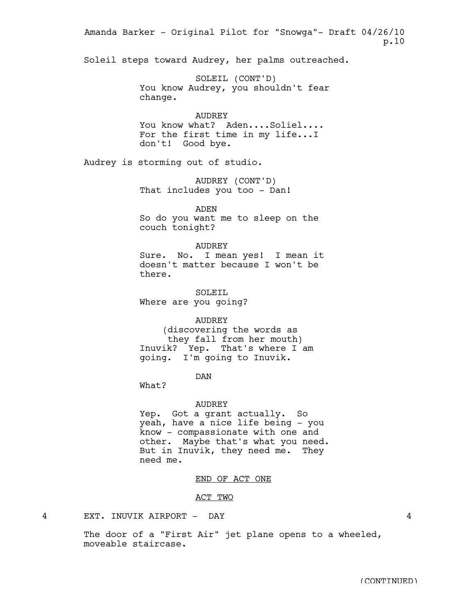Soleil steps toward Audrey, her palms outreached. SOLEIL (CONT'D) You know Audrey, you shouldn't fear change. AUDREY You know what? Aden....Soliel.... For the first time in my life...I don't! Good bye. Audrey is storming out of studio. AUDREY (CONT'D) That includes you too - Dan! ADEN So do you want me to sleep on the couch tonight? AUDREY Sure. No. I mean yes! I mean it doesn't matter because I won't be there. SOLEIL Where are you going? AUDREY (discovering the words as they fall from her mouth) Inuvik? Yep. That's where I am going. I'm going to Inuvik. DAN What? AUDREY Yep. Got a grant actually. So yeah, have a nice life being - you know - compassionate with one and other. Maybe that's what you need. But in Inuvik, they need me. They need me. END OF ACT ONE ACT TWO 4 EXT. INUVIK AIRPORT - DAY 4 Amanda Barker - Original Pilot for "Snowga"- Draft 04/26/10 p.10

> The door of a "First Air" jet plane opens to a wheeled, moveable staircase.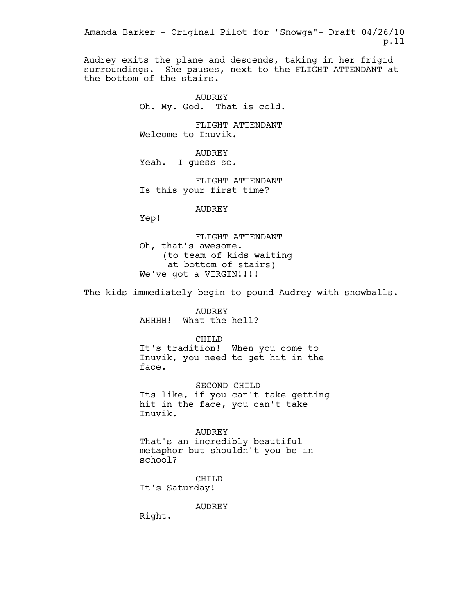Audrey exits the plane and descends, taking in her frigid surroundings. She pauses, next to the FLIGHT ATTENDANT at the bottom of the stairs.

> AUDREY Oh. My. God. That is cold.

FLIGHT ATTENDANT Welcome to Inuvik.

AUDREY Yeah. I guess so.

FLIGHT ATTENDANT Is this your first time?

AUDREY

Yep!

FLIGHT ATTENDANT Oh, that's awesome. (to team of kids waiting at bottom of stairs) We've got a VIRGIN!!!!

The kids immediately begin to pound Audrey with snowballs.

AUDREY AHHHH! What the hell?

CHILD It's tradition! When you come to Inuvik, you need to get hit in the face.

SECOND CHILD Its like, if you can't take getting hit in the face, you can't take Inuvik.

AUDREY That's an incredibly beautiful metaphor but shouldn't you be in school?

CHILD It's Saturday!

AUDREY

Right.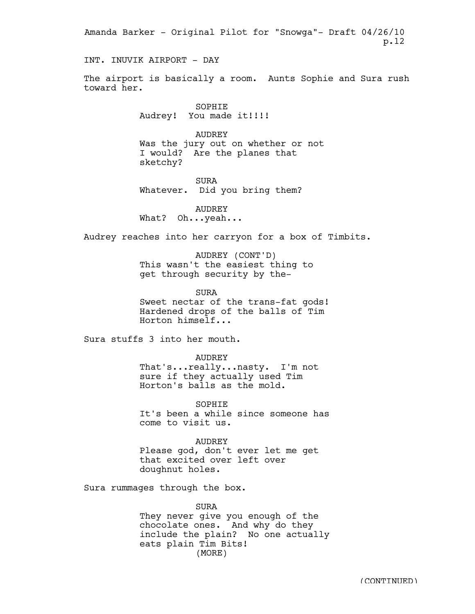INT. INUVIK AIRPORT - DAY

The airport is basically a room. Aunts Sophie and Sura rush toward her.

> SOPHIE Audrey! You made it!!!!

AUDREY Was the jury out on whether or not I would? Are the planes that sketchy?

SURA Whatever. Did you bring them?

AUDREY What? Oh...yeah...

Audrey reaches into her carryon for a box of Timbits.

AUDREY (CONT'D) This wasn't the easiest thing to get through security by the-

SURA Sweet nectar of the trans-fat gods! Hardened drops of the balls of Tim Horton himself...

Sura stuffs 3 into her mouth.

AUDREY That's...really...nasty. I'm not sure if they actually used Tim Horton's balls as the mold.

SOPHIE It's been a while since someone has come to visit us.

AUDREY Please god, don't ever let me get that excited over left over doughnut holes.

Sura rummages through the box.

SURA They never give you enough of the chocolate ones. And why do they include the plain? No one actually eats plain Tim Bits! (MORE)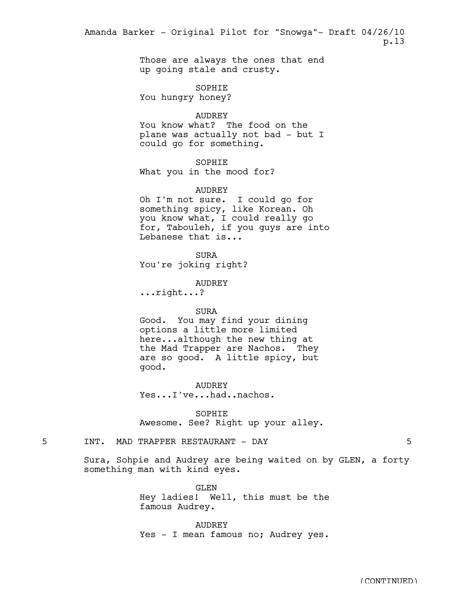> Those are always the ones that end up going stale and crusty.

SOPHIE You hungry honey?

AUDREY

You know what? The food on the plane was actually not bad - but I could go for something.

SOPHIE

What you in the mood for?

AUDREY

Oh I'm not sure. I could go for something spicy, like Korean. Oh you know what, I could really go for, Tabouleh, if you guys are into Lebanese that is...

SURA You're joking right?

AUDREY

...right...?

# SURA

Good. You may find your dining options a little more limited here...although the new thing at the Mad Trapper are Nachos. They are so good. A little spicy, but good.

**AUDREY** Yes...I've...had..nachos.

SOPHIE Awesome. See? Right up your alley.

5 INT. MAD TRAPPER RESTAURANT - DAY 5

Sura, Sohpie and Audrey are being waited on by GLEN, a forty something man with kind eyes.

> GLEN Hey ladies! Well, this must be the famous Audrey.

> AUDREY Yes - I mean famous no; Audrey yes.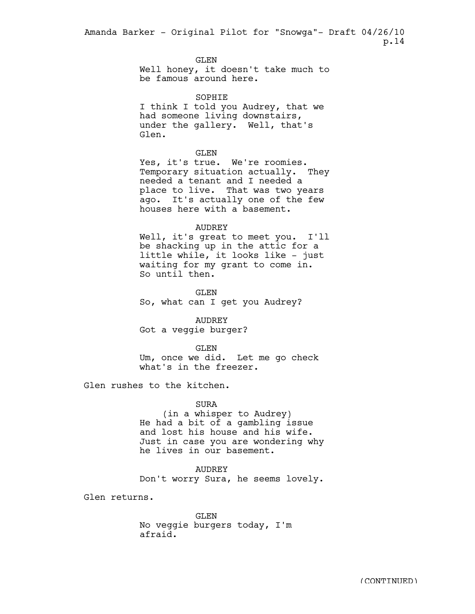> GLEN Well honey, it doesn't take much to be famous around here.

SOPHIE I think I told you Audrey, that we had someone living downstairs, under the gallery. Well, that's Glen.

GLEN

Yes, it's true. We're roomies. Temporary situation actually. They needed a tenant and I needed a place to live. That was two years ago. It's actually one of the few houses here with a basement.

### AUDREY

Well, it's great to meet you. I'll be shacking up in the attic for a little while, it looks like - just waiting for my grant to come in. So until then.

GLEN So, what can I get you Audrey?

AUDREY Got a veggie burger?

GLEN Um, once we did. Let me go check what's in the freezer.

Glen rushes to the kitchen.

# SURA

(in a whisper to Audrey) He had a bit of a gambling issue and lost his house and his wife. Just in case you are wondering why he lives in our basement.

# AUDREY

Don't worry Sura, he seems lovely.

Glen returns.

GLEN No veggie burgers today, I'm afraid.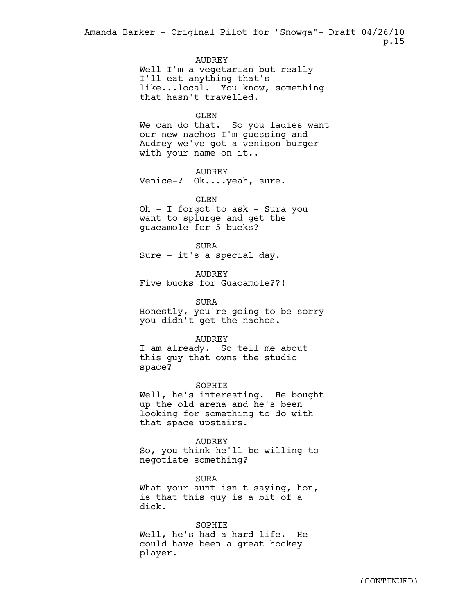# AUDREY

Well I'm a vegetarian but really I'll eat anything that's like...local. You know, something that hasn't travelled.

### GLEN

We can do that. So you ladies want our new nachos I'm guessing and Audrey we've got a venison burger with your name on it..

# AUDREY

Venice-? Ok....yeah, sure.

## GLEN

Oh - I forgot to ask - Sura you want to splurge and get the guacamole for 5 bucks?

SURA Sure - it's a special day.

AUDREY Five bucks for Guacamole??!

SURA Honestly, you're going to be sorry you didn't get the nachos.

# AUDREY

I am already. So tell me about this guy that owns the studio space?

### SOPHIE

Well, he's interesting. He bought up the old arena and he's been looking for something to do with that space upstairs.

#### AUDREY

So, you think he'll be willing to negotiate something?

SURA What your aunt isn't saying, hon, is that this guy is a bit of a dick.

#### SOPHIE

Well, he's had a hard life. He could have been a great hockey player.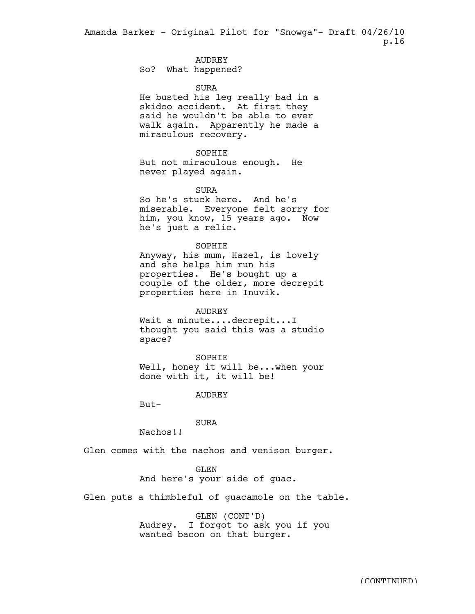# AUDREY

So? What happened?

### SURA

He busted his leg really bad in a skidoo accident. At first they said he wouldn't be able to ever walk again. Apparently he made a miraculous recovery.

### SOPHIE

But not miraculous enough. He never played again.

#### SURA

So he's stuck here. And he's miserable. Everyone felt sorry for him, you know, 15 years ago. Now he's just a relic.

### SOPHIE

Anyway, his mum, Hazel, is lovely and she helps him run his properties. He's bought up a couple of the older, more decrepit properties here in Inuvik.

### AUDREY

Wait a minute....decrepit...I thought you said this was a studio space?

### SOPHIE

Well, honey it will be...when your done with it, it will be!

#### AUDREY

But-

# SURA

Nachos!!

Glen comes with the nachos and venison burger.

## GLEN

# And here's your side of guac.

Glen puts a thimbleful of guacamole on the table.

GLEN (CONT'D) Audrey. I forgot to ask you if you wanted bacon on that burger.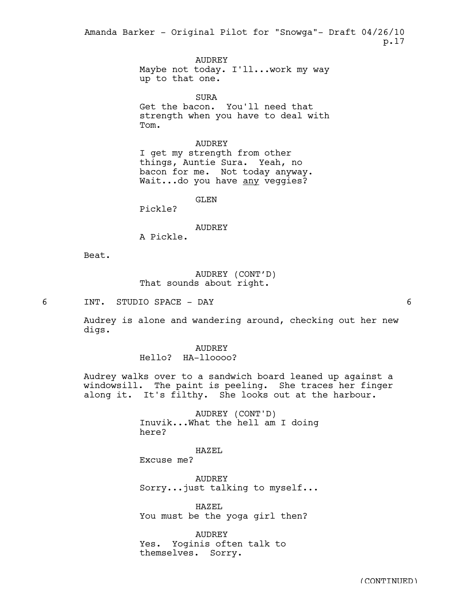> AUDREY Maybe not today. I'll...work my way up to that one.

> SURA Get the bacon. You'll need that strength when you have to deal with Tom.

# AUDREY

I get my strength from other things, Auntie Sura. Yeah, no bacon for me. Not today anyway. Wait...do you have any veggies?

GLEN

Pickle?

### AUDREY

A Pickle.

Beat.

# AUDREY (CONT'D) That sounds about right.

6 INT. STUDIO SPACE - DAY 6

Audrey is alone and wandering around, checking out her new digs.

> AUDREY Hello? HA-lloooo?

Audrey walks over to a sandwich board leaned up against a windowsill. The paint is peeling. She traces her finger along it. It's filthy. She looks out at the harbour.

> AUDREY (CONT'D) Inuvik...What the hell am I doing here?

> > HAZEL

Excuse me?

AUDREY Sorry...just talking to myself...

HAZEL You must be the yoga girl then?

AUDREY Yes. Yoginis often talk to themselves. Sorry.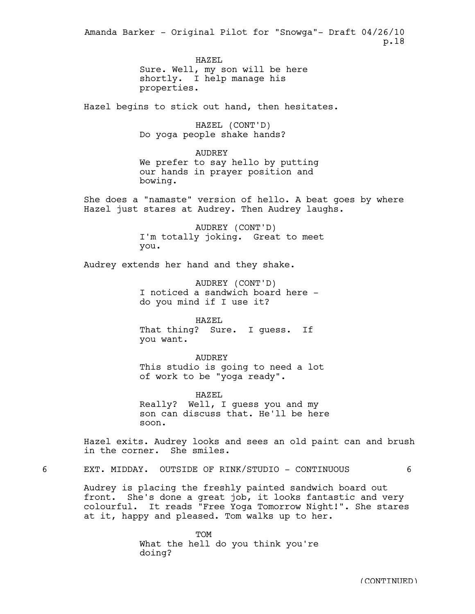> HAZEL Sure. Well, my son will be here shortly. I help manage his properties.

Hazel begins to stick out hand, then hesitates.

HAZEL (CONT'D) Do yoga people shake hands?

AUDREY We prefer to say hello by putting our hands in prayer position and bowing.

She does a "namaste" version of hello. A beat goes by where Hazel just stares at Audrey. Then Audrey laughs.

> AUDREY (CONT'D) I'm totally joking. Great to meet you.

Audrey extends her hand and they shake.

AUDREY (CONT'D) I noticed a sandwich board here do you mind if I use it?

HAZEL That thing? Sure. I guess. If you want.

AUDREY This studio is going to need a lot of work to be "yoga ready".

HAZEL Really? Well, I guess you and my son can discuss that. He'll be here soon.

Hazel exits. Audrey looks and sees an old paint can and brush in the corner. She smiles.

6 EXT. MIDDAY. OUTSIDE OF RINK/STUDIO - CONTINUOUS 6

Audrey is placing the freshly painted sandwich board out front. She's done a great job, it looks fantastic and very colourful. It reads "Free Yoga Tomorrow Night!". She stares at it, happy and pleased. Tom walks up to her.

> TOM What the hell do you think you're doing?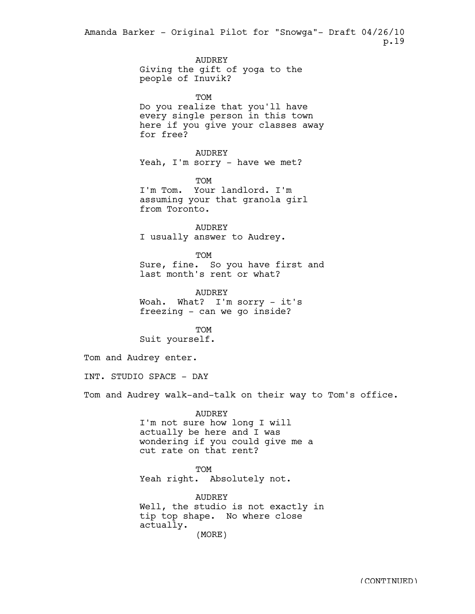> AUDREY Giving the gift of yoga to the people of Inuvik?

TOM Do you realize that you'll have every single person in this town here if you give your classes away for free?

AUDREY Yeah, I'm sorry - have we met?

TOM I'm Tom. Your landlord. I'm assuming your that granola girl from Toronto.

AUDREY I usually answer to Audrey.

TOM Sure, fine. So you have first and last month's rent or what?

AUDREY Woah. What? I'm sorry - it's freezing - can we go inside?

TOM Suit yourself.

Tom and Audrey enter.

INT. STUDIO SPACE - DAY

Tom and Audrey walk-and-talk on their way to Tom's office.

AUDREY

I'm not sure how long I will actually be here and I was wondering if you could give me a cut rate on that rent?

**TOM** Yeah right. Absolutely not.

AUDREY Well, the studio is not exactly in tip top shape. No where close actually. (MORE)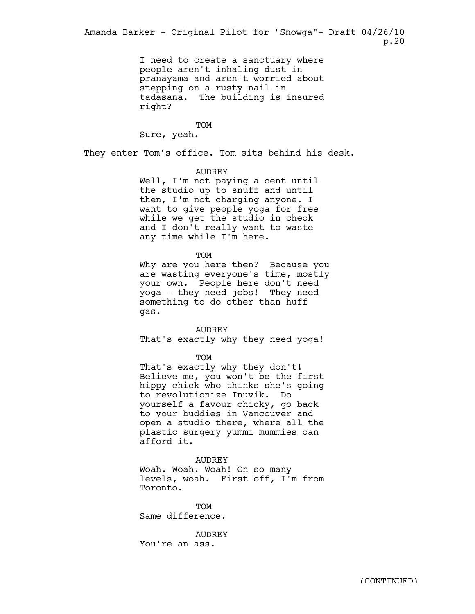> I need to create a sanctuary where people aren't inhaling dust in pranayama and aren't worried about stepping on a rusty nail in tadasana. The building is insured right?

> > TOM

Sure, yeah.

They enter Tom's office. Tom sits behind his desk.

# AUDREY

Well, I'm not paying a cent until the studio up to snuff and until then, I'm not charging anyone. I want to give people yoga for free while we get the studio in check and I don't really want to waste any time while I'm here.

#### TOM

Why are you here then? Because you are wasting everyone's time, mostly your own. People here don't need yoga - they need jobs! They need something to do other than huff gas.

AUDREY

That's exactly why they need yoga!

#### TOM

That's exactly why they don't! Believe me, you won't be the first hippy chick who thinks she's going to revolutionize Inuvik. Do yourself a favour chicky, go back to your buddies in Vancouver and open a studio there, where all the plastic surgery yummi mummies can afford it.

### AUDREY

Woah. Woah. Woah! On so many levels, woah. First off, I'm from Toronto.

**TOM** Same difference.

AUDREY You're an ass.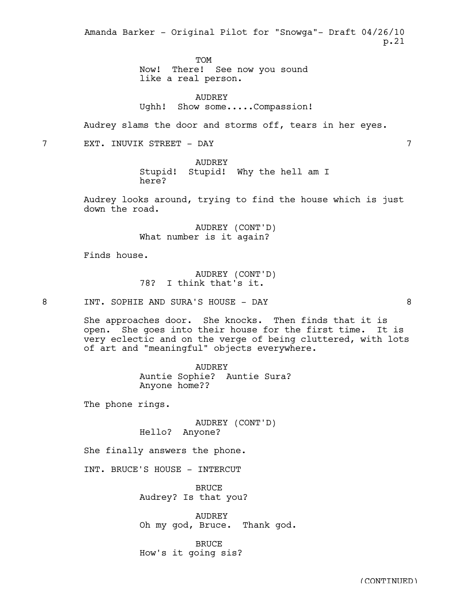**TOM** 

Now! There! See now you sound like a real person.

AUDREY Ughh! Show some.....Compassion!

Audrey slams the door and storms off, tears in her eyes.

7 EXT. INUVIK STREET - DAY 7

AUDREY Stupid! Stupid! Why the hell am I here?

Audrey looks around, trying to find the house which is just down the road.

> AUDREY (CONT'D) What number is it again?

Finds house.

AUDREY (CONT'D) 78? I think that's it.

8 INT. SOPHIE AND SURA'S HOUSE - DAY 8

She approaches door. She knocks. Then finds that it is open. She goes into their house for the first time. It is very eclectic and on the verge of being cluttered, with lots of art and "meaningful" objects everywhere.

> AUDREY Auntie Sophie? Auntie Sura? Anyone home??

The phone rings.

AUDREY (CONT'D) Hello? Anyone?

She finally answers the phone.

INT. BRUCE'S HOUSE - INTERCUT

BRUCE Audrey? Is that you?

AUDREY Oh my god, Bruce. Thank god.

BRUCE How's it going sis?

(CONTINUED)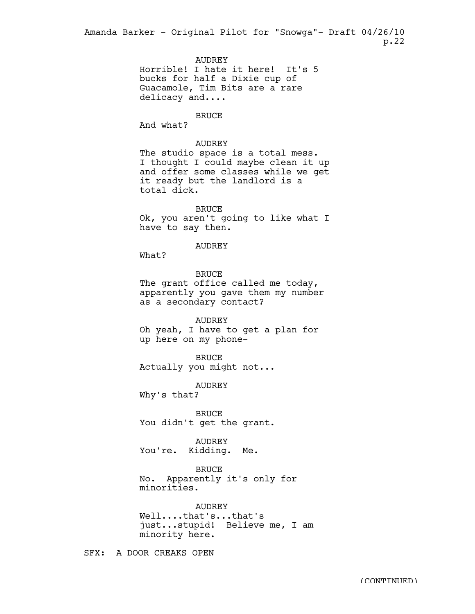> **AUDREY** Horrible! I hate it here! It's 5 bucks for half a Dixie cup of Guacamole, Tim Bits are a rare delicacy and....

> > BRUCE

And what?

# AUDREY

The studio space is a total mess. I thought I could maybe clean it up and offer some classes while we get it ready but the landlord is a total dick.

BRUCE Ok, you aren't going to like what I have to say then.

## AUDREY

What?

BRUCE The grant office called me today, apparently you gave them my number as a secondary contact?

### AUDREY

Oh yeah, I have to get a plan for up here on my phone-

BRUCE Actually you might not...

AUDREY Why's that?

BRUCE

You didn't get the grant.

# AUDREY

You're. Kidding. Me.

# BRUCE

No. Apparently it's only for minorities.

AUDREY Well....that's...that's just...stupid! Believe me, I am minority here.

SFX: A DOOR CREAKS OPEN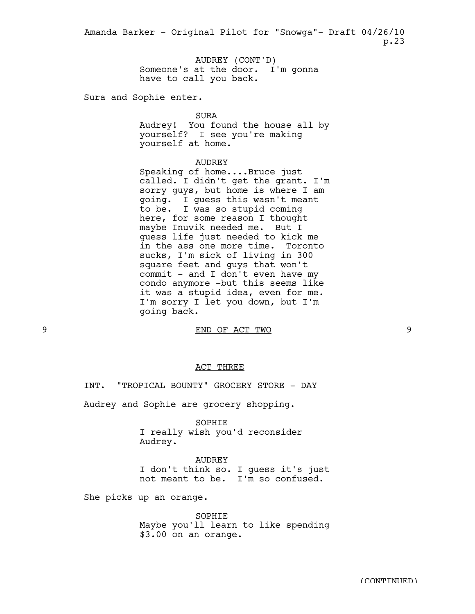> AUDREY (CONT'D) Someone's at the door. I'm gonna have to call you back.

Sura and Sophie enter.

SURA

Audrey! You found the house all by yourself? I see you're making yourself at home.

# AUDREY

Speaking of home....Bruce just called. I didn't get the grant. I'm sorry guys, but home is where I am going. I guess this wasn't meant to be. I was so stupid coming here, for some reason I thought maybe Inuvik needed me. But I guess life just needed to kick me in the ass one more time. Toronto sucks, I'm sick of living in 300 square feet and guys that won't commit - and I don't even have my condo anymore -but this seems like it was a stupid idea, even for me. I'm sorry I let you down, but I'm going back.

9 END OF ACT TWO 9

### ACT THREE

INT. "TROPICAL BOUNTY" GROCERY STORE - DAY

Audrey and Sophie are grocery shopping.

SOPHIE I really wish you'd reconsider Audrey.

AUDREY I don't think so. I guess it's just not meant to be. I'm so confused.

She picks up an orange.

SOPHIE Maybe you'll learn to like spending \$3.00 on an orange.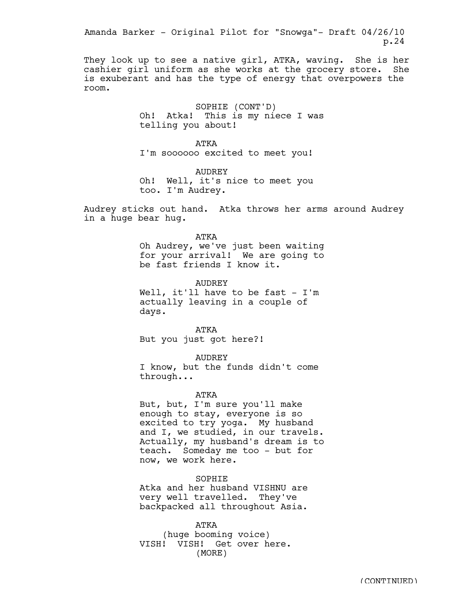They look up to see a native girl, ATKA, waving. She is her cashier girl uniform as she works at the grocery store. She is exuberant and has the type of energy that overpowers the room.

> SOPHIE (CONT'D) Oh! Atka! This is my niece I was telling you about!

ATKA I'm soooooo excited to meet you!

AUDREY Oh! Well, it's nice to meet you too. I'm Audrey.

Audrey sticks out hand. Atka throws her arms around Audrey in a huge bear hug.

> ATKA Oh Audrey, we've just been waiting for your arrival! We are going to be fast friends I know it.

**AUDREY** Well, it'll have to be fast  $- I'm$ actually leaving in a couple of

ATKA

But you just got here?!

days.

AUDREY

I know, but the funds didn't come through...

ATKA

But, but, I'm sure you'll make enough to stay, everyone is so excited to try yoga. My husband and I, we studied, in our travels. Actually, my husband's dream is to teach. Someday me too - but for now, we work here.

SOPHIE Atka and her husband VISHNU are very well travelled. They've backpacked all throughout Asia.

ATKA (huge booming voice) VISH! VISH! Get over here. (MORE)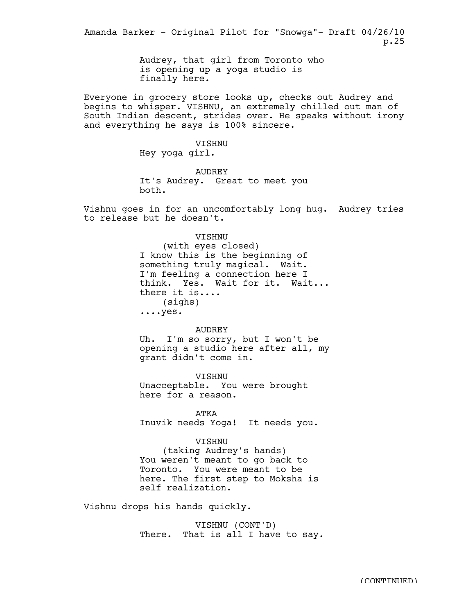> Audrey, that girl from Toronto who is opening up a yoga studio is finally here.

Everyone in grocery store looks up, checks out Audrey and begins to whisper. VISHNU, an extremely chilled out man of South Indian descent, strides over. He speaks without irony and everything he says is 100% sincere.

# VISHNU

Hey yoga girl.

AUDREY It's Audrey. Great to meet you both.

Vishnu goes in for an uncomfortably long hug. Audrey tries to release but he doesn't.

# VISHNU

(with eyes closed) I know this is the beginning of something truly magical. Wait. I'm feeling a connection here I think. Yes. Wait for it. Wait... there it is.... (sighs) ....yes.

#### AUDREY

Uh. I'm so sorry, but I won't be opening a studio here after all, my grant didn't come in.

VISHNU Unacceptable. You were brought here for a reason.

ATKA Inuvik needs Yoga! It needs you.

## VISHNU

(taking Audrey's hands) You weren't meant to go back to Toronto. You were meant to be here. The first step to Moksha is self realization.

Vishnu drops his hands quickly.

VISHNU (CONT'D) There. That is all I have to say.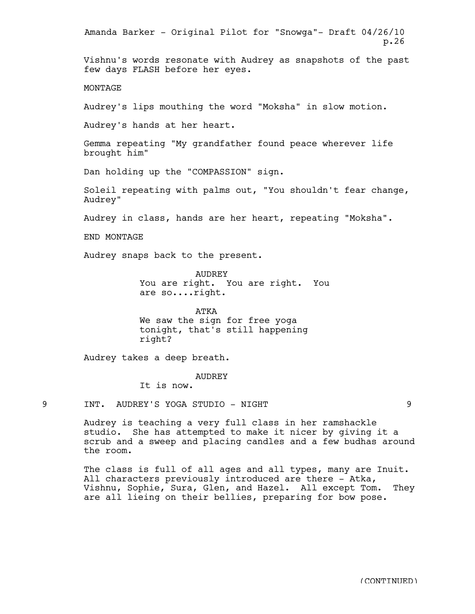Vishnu's words resonate with Audrey as snapshots of the past few days FLASH before her eyes. **MONTAGE** Audrey's lips mouthing the word "Moksha" in slow motion. Audrey's hands at her heart. Gemma repeating "My grandfather found peace wherever life brought him" Dan holding up the "COMPASSION" sign. Soleil repeating with palms out, "You shouldn't fear change, Audrey" Audrey in class, hands are her heart, repeating "Moksha". END MONTAGE Audrey snaps back to the present. AUDREY You are right. You are right. You are so....right. ATKA We saw the sign for free yoga tonight, that's still happening right? Audrey takes a deep breath. AUDREY It is now. 9 INT. AUDREY'S YOGA STUDIO - NIGHT 9 Audrey is teaching a very full class in her ramshackle studio. She has attempted to make it nicer by giving it a scrub and a sweep and placing candles and a few budhas around the room. The class is full of all ages and all types, many are Inuit. All characters previously introduced are there - Atka, Vishnu, Sophie, Sura, Glen, and Hazel. All except Tom. They are all lieing on their bellies, preparing for bow pose. Amanda Barker - Original Pilot for "Snowga"- Draft 04/26/10 p.26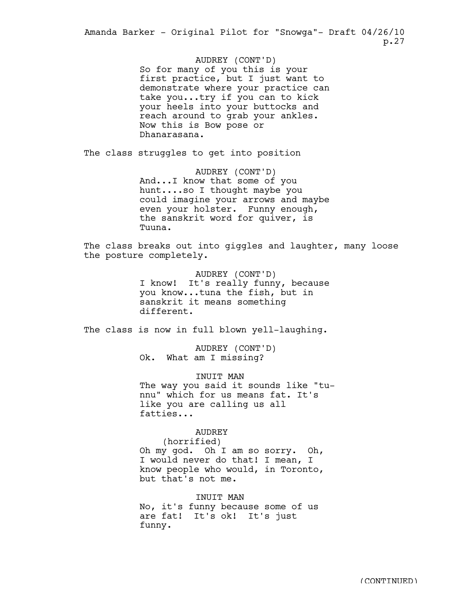> AUDREY (CONT'D) So for many of you this is your first practice, but I just want to demonstrate where your practice can take you...try if you can to kick your heels into your buttocks and reach around to grab your ankles. Now this is Bow pose or Dhanarasana.

The class struggles to get into position

AUDREY (CONT'D) And...I know that some of you hunt....so I thought maybe you could imagine your arrows and maybe even your holster. Funny enough, the sanskrit word for quiver, is Tuuna.

The class breaks out into giggles and laughter, many loose the posture completely.

> AUDREY (CONT'D) I know! It's really funny, because you know...tuna the fish, but in sanskrit it means something different.

The class is now in full blown yell-laughing.

AUDREY (CONT'D) Ok. What am I missing?

INUIT MAN The way you said it sounds like "tunnu" which for us means fat. It's like you are calling us all fatties...

AUDREY

(horrified) Oh my god. Oh I am so sorry. Oh, I would never do that! I mean, I know people who would, in Toronto, but that's not me.

INUIT MAN No, it's funny because some of us are fat! It's ok! It's just funny.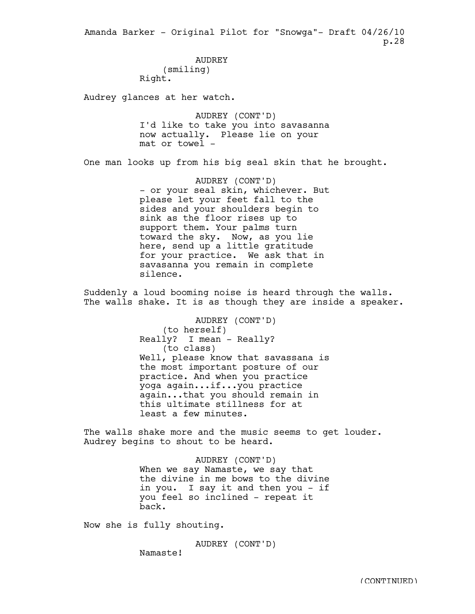> AUDREY (smiling) Right.

Audrey glances at her watch.

AUDREY (CONT'D) I'd like to take you into savasanna now actually. Please lie on your mat or towel -

One man looks up from his big seal skin that he brought.

AUDREY (CONT'D) - or your seal skin, whichever. But please let your feet fall to the sides and your shoulders begin to sink as the floor rises up to support them. Your palms turn toward the sky. Now, as you lie here, send up a little gratitude for your practice. We ask that in savasanna you remain in complete silence.

Suddenly a loud booming noise is heard through the walls. The walls shake. It is as though they are inside a speaker.

> AUDREY (CONT'D) (to herself) Really? I mean - Really? (to class) Well, please know that savassana is the most important posture of our practice. And when you practice yoga again...if...you practice again...that you should remain in this ultimate stillness for at least a few minutes.

The walls shake more and the music seems to get louder. Audrey begins to shout to be heard.

> AUDREY (CONT'D) When we say Namaste, we say that the divine in me bows to the divine in you. I say it and then you - if you feel so inclined - repeat it back.

Now she is fully shouting.

Namaste!

AUDREY (CONT'D)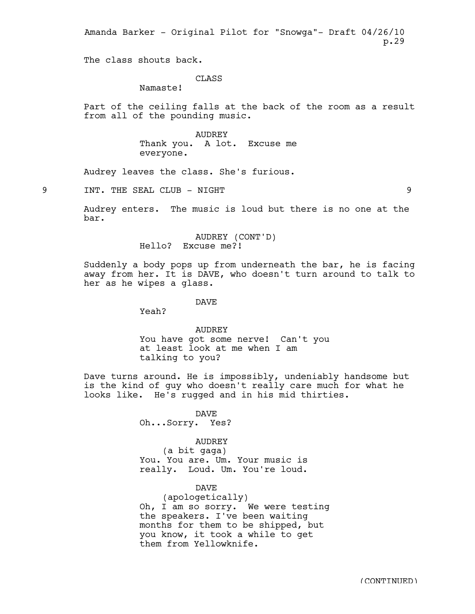The class shouts back.

# **CLASS**

Namaste!

Part of the ceiling falls at the back of the room as a result from all of the pounding music.

> AUDREY Thank you. A lot. Excuse me everyone.

Audrey leaves the class. She's furious.

9 INT. THE SEAL CLUB - NIGHT 9

Audrey enters. The music is loud but there is no one at the bar.

> AUDREY (CONT'D) Hello? Excuse me?!

Suddenly a body pops up from underneath the bar, he is facing away from her. It is DAVE, who doesn't turn around to talk to her as he wipes a glass.

DAVE

Yeah?

AUDREY You have got some nerve! Can't you at least look at me when I am talking to you?

Dave turns around. He is impossibly, undeniably handsome but is the kind of guy who doesn't really care much for what he looks like. He's rugged and in his mid thirties.

> DAVE Oh...Sorry. Yes?

### AUDREY

(a bit gaga) You. You are. Um. Your music is really. Loud. Um. You're loud.

# DAVE

(apologetically) Oh, I am so sorry. We were testing the speakers. I've been waiting months for them to be shipped, but you know, it took a while to get them from Yellowknife.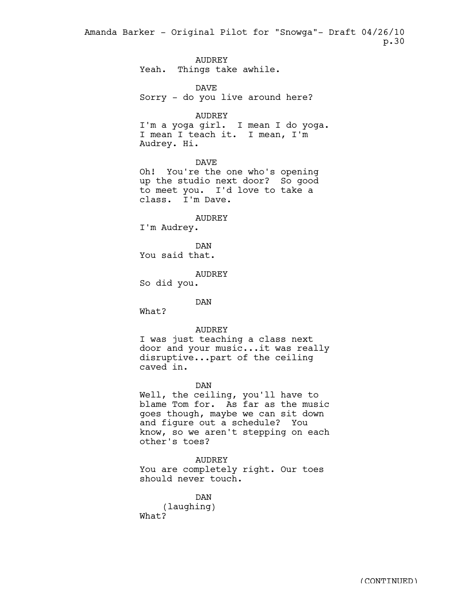> AUDREY Yeah. Things take awhile. DAVE Sorry - do you live around here? AUDREY I'm a yoga girl. I mean I do yoga. I mean I teach it. I mean, I'm Audrey. Hi. DAVE Oh! You're the one who's opening up the studio next door? So good to meet you. I'd love to take a class. I'm Dave. AUDREY I'm Audrey. DAN You said that. AUDREY So did you. DAN What? AUDREY I was just teaching a class next door and your music...it was really disruptive...part of the ceiling caved in. DAN Well, the ceiling, you'll have to blame Tom for. As far as the music goes though, maybe we can sit down and figure out a schedule? You know, so we aren't stepping on each other's toes? AUDREY You are completely right. Our toes

DAN (laughing) What?

should never touch.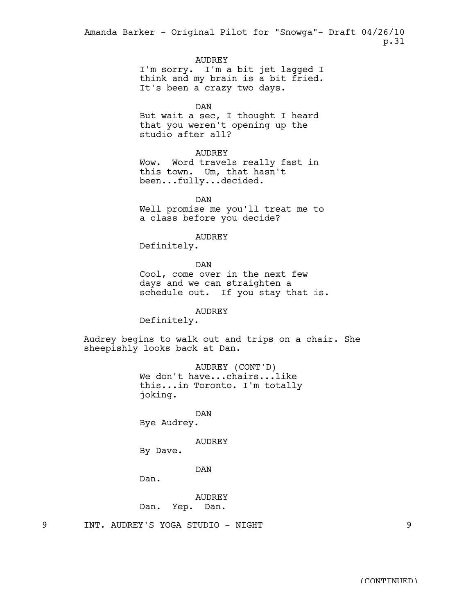AUDREY

I'm sorry. I'm a bit jet lagged I think and my brain is a bit fried. It's been a crazy two days.

DAN

But wait a sec, I thought I heard that you weren't opening up the studio after all?

#### AUDREY

Wow. Word travels really fast in this town. Um, that hasn't been...fully...decided.

DAN Well promise me you'll treat me to a class before you decide?

### AUDREY

Definitely.

DAN

Cool, come over in the next few days and we can straighten a schedule out. If you stay that is.

# AUDREY

Definitely.

Audrey begins to walk out and trips on a chair. She sheepishly looks back at Dan.

> AUDREY (CONT'D) We don't have...chairs...like this...in Toronto. I'm totally joking.

DAN Bye Audrey.

### AUDREY

By Dave.

DAN

Dan.

AUDREY Dan. Yep. Dan.

9 INT. AUDREY'S YOGA STUDIO - NIGHT 9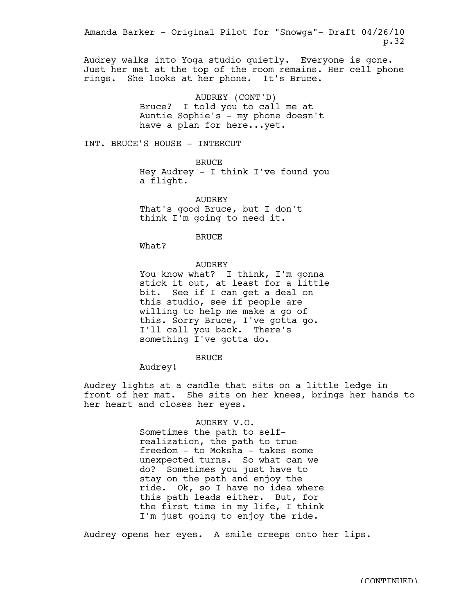Audrey walks into Yoga studio quietly. Everyone is gone. Just her mat at the top of the room remains. Her cell phone rings. She looks at her phone. It's Bruce.

> AUDREY (CONT'D) Bruce? I told you to call me at Auntie Sophie's - my phone doesn't have a plan for here...yet.

INT. BRUCE'S HOUSE - INTERCUT

BRUCE Hey Audrey - I think I've found you a flight.

AUDREY That's good Bruce, but I don't think I'm going to need it.

BRUCE

What?

## AUDREY

You know what? I think, I'm gonna stick it out, at least for a little bit. See if I can get a deal on this studio, see if people are willing to help me make a go of this. Sorry Bruce, I've gotta go. I'll call you back. There's something I've gotta do.

BRUCE

Audrey!

Audrey lights at a candle that sits on a little ledge in front of her mat. She sits on her knees, brings her hands to her heart and closes her eyes.

## AUDREY V.O.

Sometimes the path to selfrealization, the path to true freedom - to Moksha - takes some unexpected turns. So what can we do? Sometimes you just have to stay on the path and enjoy the ride. Ok, so I have no idea where this path leads either. But, for the first time in my life, I think I'm just going to enjoy the ride.

Audrey opens her eyes. A smile creeps onto her lips.